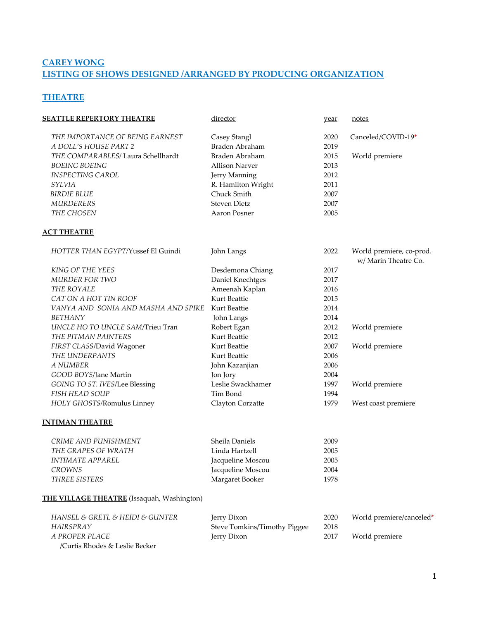# **CAREY WONG LISTING OF SHOWS DESIGNED /ARRANGED BY PRODUCING ORGANIZATION**

### **THEATRE**

| <b>SEATTLE REPERTORY THEATRE</b>           | director                     | year | notes                                            |
|--------------------------------------------|------------------------------|------|--------------------------------------------------|
| THE IMPORTANCE OF BEING EARNEST            | Casey Stangl                 | 2020 | Canceled/COVID-19*                               |
| A DOLL'S HOUSE PART 2                      | Braden Abraham               | 2019 |                                                  |
| THE COMPARABLES/ Laura Schellhardt         | Braden Abraham               | 2015 | World premiere                                   |
| <b>BOEING BOEING</b>                       | <b>Allison Narver</b>        | 2013 |                                                  |
| <b>INSPECTING CAROL</b>                    | Jerry Manning                | 2012 |                                                  |
| SYLVIA                                     | R. Hamilton Wright           | 2011 |                                                  |
| <b>BIRDIE BLUE</b>                         | Chuck Smith                  | 2007 |                                                  |
| <b>MURDERERS</b>                           | <b>Steven Dietz</b>          | 2007 |                                                  |
| THE CHOSEN                                 | Aaron Posner                 | 2005 |                                                  |
| <b>ACT THEATRE</b>                         |                              |      |                                                  |
| HOTTER THAN EGYPT/Yussef El Guindi         | John Langs                   | 2022 | World premiere, co-prod.<br>w/ Marin Theatre Co. |
| <b>KING OF THE YEES</b>                    | Desdemona Chiang             | 2017 |                                                  |
| MURDER FOR TWO                             | Daniel Knechtges             | 2017 |                                                  |
| THE ROYALE                                 | Ameenah Kaplan               | 2016 |                                                  |
| CAT ON A HOT TIN ROOF                      | Kurt Beattie                 | 2015 |                                                  |
| VANYA AND SONIA AND MASHA AND SPIKE        | Kurt Beattie                 | 2014 |                                                  |
| BETHANY                                    | John Langs                   | 2014 |                                                  |
| UNCLE HO TO UNCLE SAM/Trieu Tran           | Robert Egan                  | 2012 | World premiere                                   |
| THE PITMAN PAINTERS                        | Kurt Beattie                 | 2012 |                                                  |
| FIRST CLASS/David Wagoner                  | Kurt Beattie                 | 2007 | World premiere                                   |
| THE UNDERPANTS                             | Kurt Beattie                 | 2006 |                                                  |
| A NUMBER                                   | John Kazanjian               | 2006 |                                                  |
| GOOD BOYS/Jane Martin                      | Jon Jory                     | 2004 |                                                  |
| GOING TO ST. IVES/Lee Blessing             | Leslie Swackhamer            | 1997 | World premiere                                   |
| <b>FISH HEAD SOUP</b>                      | Tim Bond                     | 1994 |                                                  |
| HOLY GHOSTS/Romulus Linney                 | Clayton Corzatte             | 1979 | West coast premiere                              |
| <u>INTIMAN THEATRE</u>                     |                              |      |                                                  |
| CRIME AND PUNISHMENT                       | Sheila Daniels               | 2009 |                                                  |
| THE GRAPES OF WRATH                        | Linda Hartzell               | 2005 |                                                  |
| <b>INTIMATE APPAREL</b>                    | Jacqueline Moscou            | 2005 |                                                  |
| <b>CROWNS</b>                              | Jacqueline Moscou            | 2004 |                                                  |
| THREE SISTERS                              | Margaret Booker              | 1978 |                                                  |
| THE VILLAGE THEATRE (Issaquah, Washington) |                              |      |                                                  |
| HANSEL & GRETL & HEIDI & GUNTER            | Jerry Dixon                  | 2020 | World premiere/canceled*                         |
| HAIRSPRAY                                  | Steve Tomkins/Timothy Piggee | 2018 |                                                  |
| A PROPER PLACE                             | Jerry Dixon                  | 2017 | World premiere                                   |
| /Curtis Rhodes & Leslie Becker             |                              |      |                                                  |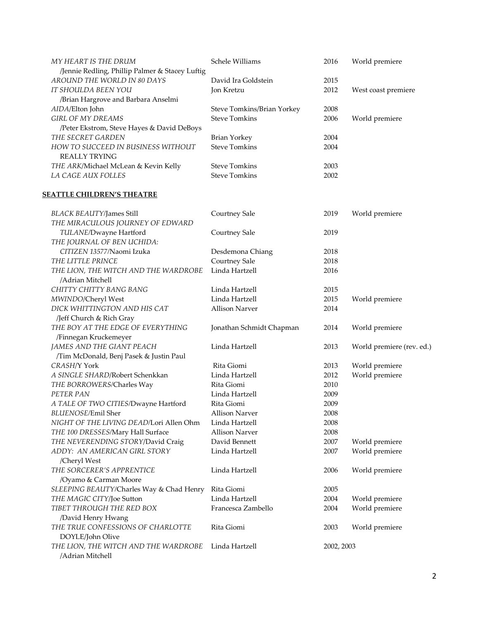| MY HEART IS THE DRUM                                                 | Schele Williams            | 2016       | World premiere            |
|----------------------------------------------------------------------|----------------------------|------------|---------------------------|
| /Jennie Redling, Phillip Palmer & Stacey Luftig                      |                            |            |                           |
| AROUND THE WORLD IN 80 DAYS                                          | David Ira Goldstein        | 2015       |                           |
| IT SHOULDA BEEN YOU                                                  | Jon Kretzu                 | 2012       | West coast premiere       |
| /Brian Hargrove and Barbara Anselmi                                  |                            |            |                           |
| AIDA/Elton John                                                      | Steve Tomkins/Brian Yorkey | 2008       |                           |
| <b>GIRL OF MY DREAMS</b>                                             | <b>Steve Tomkins</b>       | 2006       | World premiere            |
| /Peter Ekstrom, Steve Hayes & David DeBoys                           |                            |            |                           |
| THE SECRET GARDEN                                                    | Brian Yorkey               | 2004       |                           |
| HOW TO SUCCEED IN BUSINESS WITHOUT<br><b>REALLY TRYING</b>           | <b>Steve Tomkins</b>       | 2004       |                           |
| THE ARK/Michael McLean & Kevin Kelly                                 | <b>Steve Tomkins</b>       | 2003       |                           |
| LA CAGE AUX FOLLES                                                   | <b>Steve Tomkins</b>       | 2002       |                           |
| <u>SEATTLE CHILDREN'S THEATRE</u>                                    |                            |            |                           |
| <b>BLACK BEAUTY/James Still</b>                                      | Courtney Sale              | 2019       | World premiere            |
| THE MIRACULOUS JOURNEY OF EDWARD                                     |                            |            |                           |
| TULANE/Dwayne Hartford                                               | Courtney Sale              | 2019       |                           |
| THE JOURNAL OF BEN UCHIDA:                                           |                            |            |                           |
| CITIZEN 13577/Naomi Izuka                                            | Desdemona Chiang           | 2018       |                           |
| THE LITTLE PRINCE                                                    | Courtney Sale              | 2018       |                           |
| THE LION, THE WITCH AND THE WARDROBE                                 | Linda Hartzell             | 2016       |                           |
| /Adrian Mitchell                                                     |                            |            |                           |
| CHITTY CHITTY BANG BANG                                              | Linda Hartzell             | 2015       |                           |
| MWINDO/Cheryl West                                                   | Linda Hartzell             | 2015       | World premiere            |
| DICK WHITTINGTON AND HIS CAT                                         | <b>Allison Narver</b>      | 2014       |                           |
| /Jeff Church & Rich Gray                                             |                            |            |                           |
| THE BOY AT THE EDGE OF EVERYTHING                                    | Jonathan Schmidt Chapman   | 2014       | World premiere            |
| /Finnegan Kruckemeyer                                                |                            |            |                           |
| JAMES AND THE GIANT PEACH<br>/Tim McDonald, Benj Pasek & Justin Paul | Linda Hartzell             | 2013       | World premiere (rev. ed.) |
| CRASH/Y York                                                         | Rita Giomi                 | 2013       | World premiere            |
| A SINGLE SHARD/Robert Schenkkan                                      | Linda Hartzell             | 2012       | World premiere            |
| THE BORROWERS/Charles Way                                            | Rita Giomi                 | 2010       |                           |
| PETER PAN                                                            | Linda Hartzell             | 2009       |                           |
| A TALE OF TWO CITIES/Dwayne Hartford                                 | Rita Giomi                 | 2009       |                           |
| <b>BLUENOSE/Emil Sher</b>                                            | <b>Allison Narver</b>      | 2008       |                           |
| NIGHT OF THE LIVING DEAD/Lori Allen Ohm                              | Linda Hartzell             | 2008       |                           |
| THE 100 DRESSES/Mary Hall Surface                                    | <b>Allison Narver</b>      | 2008       |                           |
| THE NEVERENDING STORY/David Craig                                    | David Bennett              | 2007       | World premiere            |
| ADDY: AN AMERICAN GIRL STORY<br>/Cheryl West                         | Linda Hartzell             | 2007       | World premiere            |
| THE SORCERER'S APPRENTICE                                            | Linda Hartzell             | 2006       | World premiere            |
| /Oyamo & Carman Moore                                                |                            |            |                           |
| SLEEPING BEAUTY/Charles Way & Chad Henry                             | Rita Giomi                 | 2005       |                           |
| THE MAGIC CITY/Joe Sutton                                            | Linda Hartzell             | 2004       | World premiere            |
| TIBET THROUGH THE RED BOX                                            | Francesca Zambello         | 2004       | World premiere            |
| /David Henry Hwang                                                   |                            |            |                           |
| THE TRUE CONFESSIONS OF CHARLOTTE                                    | Rita Giomi                 | 2003       | World premiere            |
| DOYLE/John Olive                                                     |                            |            |                           |
| THE LION, THE WITCH AND THE WARDROBE                                 | Linda Hartzell             | 2002, 2003 |                           |
| /Adrian Mitchell                                                     |                            |            |                           |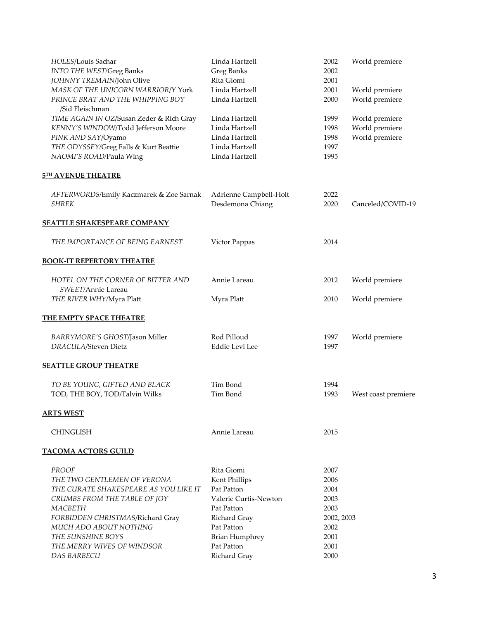| HOLES/Louis Sachar                       | Linda Hartzell         | 2002       | World premiere      |
|------------------------------------------|------------------------|------------|---------------------|
| <b>INTO THE WEST/Greg Banks</b>          | Greg Banks             | 2002       |                     |
| JOHNNY TREMAIN/John Olive                | Rita Giomi             | 2001       |                     |
| MASK OF THE UNICORN WARRIOR/Y York       | Linda Hartzell         | 2001       | World premiere      |
| PRINCE BRAT AND THE WHIPPING BOY         | Linda Hartzell         | 2000       | World premiere      |
| /Sid Fleischman                          |                        |            |                     |
| TIME AGAIN IN OZ/Susan Zeder & Rich Gray | Linda Hartzell         | 1999       | World premiere      |
| KENNY'S WINDOW/Todd Jefferson Moore      | Linda Hartzell         | 1998       | World premiere      |
| PINK AND SAY/Oyamo                       | Linda Hartzell         | 1998       | World premiere      |
| THE ODYSSEY/Greg Falls & Kurt Beattie    | Linda Hartzell         | 1997       |                     |
| NAOMI'S ROAD/Paula Wing                  | Linda Hartzell         | 1995       |                     |
| <b>5TH AVENUE THEATRE</b>                |                        |            |                     |
| AFTERWORDS/Emily Kaczmarek & Zoe Sarnak  | Adrienne Campbell-Holt | 2022       |                     |
| <b>SHREK</b>                             | Desdemona Chiang       | 2020       | Canceled/COVID-19   |
| <b>SEATTLE SHAKESPEARE COMPANY</b>       |                        |            |                     |
| THE IMPORTANCE OF BEING EARNEST          | Victor Pappas          | 2014       |                     |
| <b>BOOK-IT REPERTORY THEATRE</b>         |                        |            |                     |
| HOTEL ON THE CORNER OF BITTER AND        | Annie Lareau           | 2012       | World premiere      |
| SWEET/Annie Lareau                       |                        |            |                     |
| THE RIVER WHY/Myra Platt                 | Myra Platt             | 2010       | World premiere      |
| <b>THE EMPTY SPACE THEATRE</b>           |                        |            |                     |
| BARRYMORE'S GHOST/Jason Miller           | Rod Pilloud            | 1997       | World premiere      |
| DRACULA/Steven Dietz                     | Eddie Levi Lee         | 1997       |                     |
| <b>SEATTLE GROUP THEATRE</b>             |                        |            |                     |
| TO BE YOUNG, GIFTED AND BLACK            | Tim Bond               | 1994       |                     |
| TOD, THE BOY, TOD/Talvin Wilks           | Tim Bond               | 1993       | West coast premiere |
| <b>ARTS WEST</b>                         |                        |            |                     |
| <b>CHINGLISH</b>                         | Annie Lareau           | 2015       |                     |
| <b>TACOMA ACTORS GUILD</b>               |                        |            |                     |
| <b>PROOF</b>                             | Rita Giomi             | 2007       |                     |
| THE TWO GENTLEMEN OF VERONA              | Kent Phillips          | 2006       |                     |
| THE CURATE SHAKESPEARE AS YOU LIKE IT    | Pat Patton             | 2004       |                     |
| CRUMBS FROM THE TABLE OF JOY             | Valerie Curtis-Newton  | 2003       |                     |
| MACBETH                                  | Pat Patton             | 2003       |                     |
| FORBIDDEN CHRISTMAS/Richard Gray         | Richard Gray           | 2002, 2003 |                     |
| MUCH ADO ABOUT NOTHING                   | Pat Patton             | 2002       |                     |
| THE SUNSHINE BOYS                        | <b>Brian Humphrey</b>  | 2001       |                     |
| THE MERRY WIVES OF WINDSOR               | Pat Patton             | 2001       |                     |
| <b>DAS BARBECU</b>                       | Richard Gray           | 2000       |                     |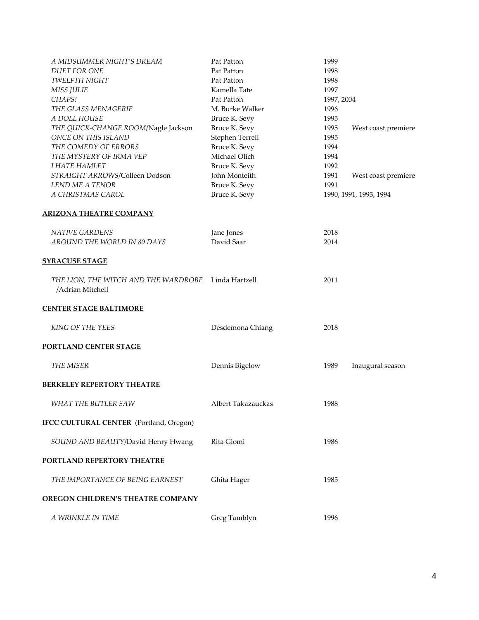| A MIDSUMMER NIGHT'S DREAM                                               | Pat Patton         | 1999       |                        |
|-------------------------------------------------------------------------|--------------------|------------|------------------------|
| <b>DUET FOR ONE</b>                                                     | Pat Patton         | 1998       |                        |
| <b>TWELFTH NIGHT</b>                                                    | Pat Patton         | 1998       |                        |
| MISS JULIE                                                              | Kamella Tate       | 1997       |                        |
| CHAPS!                                                                  | Pat Patton         | 1997, 2004 |                        |
| THE GLASS MENAGERIE                                                     | M. Burke Walker    | 1996       |                        |
| A DOLL HOUSE                                                            | Bruce K. Sevy      | 1995       |                        |
| THE QUICK-CHANGE ROOM/Nagle Jackson                                     | Bruce K. Sevy      | 1995       | West coast premiere    |
| ONCE ON THIS ISLAND                                                     | Stephen Terrell    | 1995       |                        |
| THE COMEDY OF ERRORS                                                    | Bruce K. Sevy      | 1994       |                        |
| THE MYSTERY OF IRMA VEP                                                 | Michael Olich      | 1994       |                        |
| <b>I HATE HAMLET</b>                                                    | Bruce K. Sevy      | 1992       |                        |
| STRAIGHT ARROWS/Colleen Dodson                                          | John Monteith      | 1991       | West coast premiere    |
| LEND ME A TENOR                                                         | Bruce K. Sevy      | 1991       |                        |
| A CHRISTMAS CAROL                                                       | Bruce K. Sevy      |            | 1990, 1991, 1993, 1994 |
| <b>ARIZONA THEATRE COMPANY</b>                                          |                    |            |                        |
| <b>NATIVE GARDENS</b>                                                   | Jane Jones         | 2018       |                        |
| AROUND THE WORLD IN 80 DAYS                                             | David Saar         | 2014       |                        |
| <b>SYRACUSE STAGE</b>                                                   |                    |            |                        |
| THE LION, THE WITCH AND THE WARDROBE Linda Hartzell<br>/Adrian Mitchell |                    | 2011       |                        |
| <b>CENTER STAGE BALTIMORE</b>                                           |                    |            |                        |
| KING OF THE YEES                                                        | Desdemona Chiang   | 2018       |                        |
| <u>PORTLAND CENTER STAGE</u>                                            |                    |            |                        |
| THE MISER                                                               | Dennis Bigelow     | 1989       | Inaugural season       |
| <u>BERKELEY REPERTORY THEATRE</u>                                       |                    |            |                        |
| WHAT THE BUTLER SAW                                                     | Albert Takazauckas | 1988       |                        |
| <b>IFCC CULTURAL CENTER</b> (Portland, Oregon)                          |                    |            |                        |
|                                                                         |                    |            |                        |
| SOUND AND BEAUTY/David Henry Hwang                                      | Rita Giomi         | 1986       |                        |
| <u>PORTLAND REPERTORY THEATRE</u>                                       |                    |            |                        |
| THE IMPORTANCE OF BEING EARNEST                                         | Ghita Hager        | 1985       |                        |
| <b>OREGON CHILDREN'S THEATRE COMPANY</b>                                |                    |            |                        |
| A WRINKLE IN TIME                                                       | Greg Tamblyn       | 1996       |                        |
|                                                                         |                    |            |                        |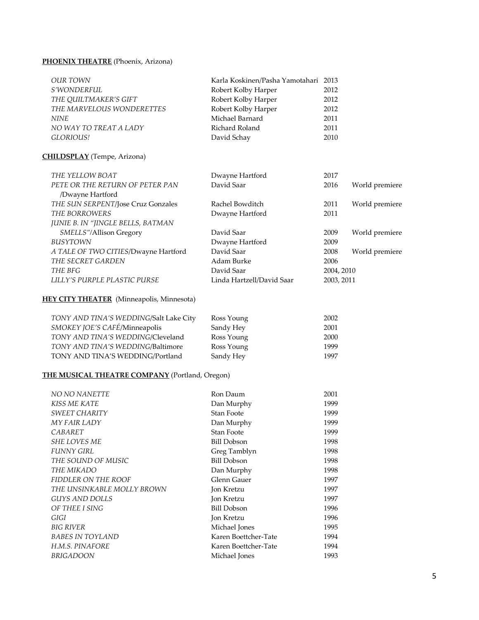# **PHOENIX THEATRE** (Phoenix, Arizona)

| OUR TOWN                  | Karla Koskinen/Pasha Yamotahari 2013 |      |
|---------------------------|--------------------------------------|------|
| <i>S'WONDERFUL</i>        | Robert Kolby Harper                  | 2012 |
| THE OUILTMAKER'S GIFT     | Robert Kolby Harper                  | 2012 |
| THE MARVELOUS WONDERETTES | Robert Kolby Harper                  | 2012 |
| <b>NINE</b>               | Michael Barnard                      | 2011 |
| NO WAY TO TREAT A LADY    | Richard Roland                       | 2011 |
| <i>GLORIOUS!</i>          | David Schay                          | 2010 |

### **CHILDSPLAY** (Tempe, Arizona)

| THE YELLOW BOAT                      | Dwayne Hartford           | 2017       |                |
|--------------------------------------|---------------------------|------------|----------------|
| PETE OR THE RETURN OF PETER PAN      | David Saar                | 2016       | World premiere |
| /Dwayne Hartford                     |                           |            |                |
| THE SUN SERPENT/Jose Cruz Gonzales   | Rachel Bowditch           | 2011       | World premiere |
| THE BORROWERS                        | Dwayne Hartford           | 2011       |                |
| JUNIE B. IN "JINGLE BELLS, BATMAN    |                           |            |                |
| SMELLS"/Allison Gregory              | David Saar                | 2009       | World premiere |
| <b>BUSYTOWN</b>                      | Dwayne Hartford           | 2009       |                |
| A TALE OF TWO CITIES/Dwayne Hartford | David Saar                | 2008       | World premiere |
| THE SECRET GARDEN                    | Adam Burke                | 2006       |                |
| THE BFG                              | David Saar                | 2004, 2010 |                |
| LILLY'S PURPLE PLASTIC PURSE         | Linda Hartzell/David Saar | 2003, 2011 |                |

### **HEY CITY THEATER** (Minneapolis, Minnesota)

| TONY AND TINA'S WEDDING/Salt Lake City | Ross Young | 2002 |
|----------------------------------------|------------|------|
| SMOKEY JOE'S CAFÉ/Minneapolis          | Sandy Hey  | 2001 |
| TONY AND TINA'S WEDDING/Cleveland      | Ross Young | 2000 |
| TONY AND TINA'S WEDDING/Baltimore      | Ross Young | 1999 |
| TONY AND TINA'S WEDDING/Portland       | Sandy Hey  | 1997 |

### **THE MUSICAL THEATRE COMPANY** (Portland, Oregon)

| <b>NO NO NANETTE</b>       | Ron Daum             | 2001 |
|----------------------------|----------------------|------|
| <b>KISS ME KATE</b>        | Dan Murphy           | 1999 |
| SWEET CHARITY              | Stan Foote           | 1999 |
| MY FAIR LADY               | Dan Murphy           | 1999 |
| CABARET                    | Stan Foote           | 1999 |
| <b>SHE LOVES ME</b>        | <b>Bill Dobson</b>   | 1998 |
| FUNNY GIRL                 | Greg Tamblyn         | 1998 |
| THE SOUND OF MUSIC         | <b>Bill Dobson</b>   | 1998 |
| THE MIKADO                 | Dan Murphy           | 1998 |
| FIDDLER ON THE ROOF        | Glenn Gauer          | 1997 |
| THE UNSINKABLE MOLLY BROWN | Jon Kretzu           | 1997 |
| <b>GUYS AND DOLLS</b>      | Jon Kretzu           | 1997 |
| OF THEE I SING             | <b>Bill Dobson</b>   | 1996 |
| GIGI                       | Jon Kretzu           | 1996 |
| <b>BIG RIVER</b>           | Michael Jones        | 1995 |
| <b>BABES IN TOYLAND</b>    | Karen Boettcher-Tate | 1994 |
| H.M.S. PINAFORE            | Karen Boettcher-Tate | 1994 |
| BRIGADOON                  | Michael Jones        | 1993 |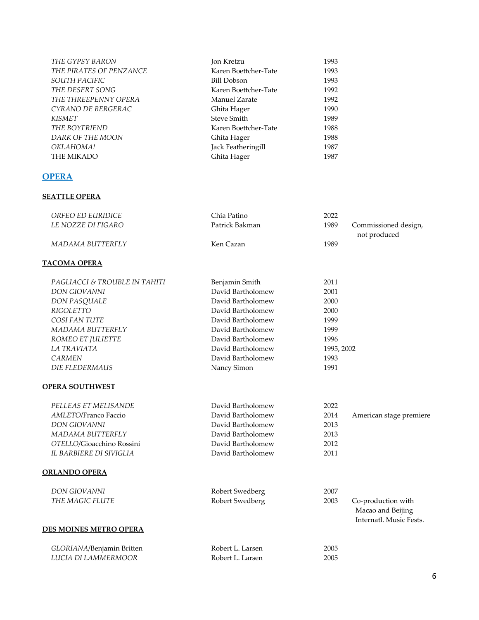| THE GYPSY BARON         | Jon Kretzu           | 1993 |
|-------------------------|----------------------|------|
| THE PIRATES OF PENZANCE | Karen Boettcher-Tate | 1993 |
| <i>SOUTH PACIFIC</i>    | Bill Dobson          | 1993 |
| THE DESERT SONG         | Karen Boettcher-Tate | 1992 |
| THE THREEPENNY OPERA    | Manuel Zarate        | 1992 |
| CYRANO DE BERGERAC      | Ghita Hager          | 1990 |
| KISMET                  | <b>Steve Smith</b>   | 1989 |
| THE BOYFRIEND           | Karen Boettcher-Tate | 1988 |
| DARK OF THE MOON        | Ghita Hager          | 1988 |
| OKLAHOMA!               | Jack Featheringill   | 1987 |
| THE MIKADO              | Ghita Hager          | 1987 |
|                         |                      |      |

# **OPERA**

### **SEATTLE OPERA**

| ORFEO ED EURIDICE                        | Chia Patino       | 2022                         |
|------------------------------------------|-------------------|------------------------------|
| LE NOZZE DI FIGARO                       | Patrick Bakman    | 1989<br>Commissioned design, |
|                                          |                   | not produced                 |
| MADAMA BUTTERFLY                         | Ken Cazan         | 1989                         |
|                                          |                   |                              |
| <b>TACOMA OPERA</b>                      |                   |                              |
|                                          |                   |                              |
| <i>PAGLIACCI &amp; TROUBLE IN TAHITI</i> | Benjamin Smith    | 2011                         |
| DON GIOVANNI                             | David Bartholomew | 2001                         |
| DON PASQUALE                             | David Bartholomew | 2000                         |
| RIGOLETTO                                | David Bartholomew | 2000                         |
| COSI FAN TUTE                            | David Bartholomew | 1999                         |
| MADAMA BUTTERFLY                         | David Bartholomew | 1999                         |
| ROMEO ET JULIETTE                        | David Bartholomew | 1996                         |
| LA TRAVIATA                              | David Bartholomew | 1995, 2002                   |
| CARMEN                                   | David Bartholomew | 1993                         |
| <b>DIE FLEDERMAUS</b>                    | Nancy Simon       | 1991                         |
|                                          |                   |                              |
| <b>OPERA SOUTHWEST</b>                   |                   |                              |

| PELLEAS ET MELISANDE      | David Bartholomew | 2022 |                         |
|---------------------------|-------------------|------|-------------------------|
| AMLETO/Franco Faccio      | David Bartholomew | 2014 | American stage premiere |
| <b>DON GIOVANNI</b>       | David Bartholomew | 2013 |                         |
| MADAMA BUTTERFLY          | David Bartholomew | 2013 |                         |
| OTELLO/Gioacchino Rossini | David Bartholomew | 2012 |                         |
| IL BARBIERE DI SIVIGLIA   | David Bartholomew | 2011 |                         |
|                           |                   |      |                         |
| <b>ORLANDO OPERA</b>      |                   |      |                         |

| DON GIOVANNI           | Robert Swedberg | 2007 |                         |
|------------------------|-----------------|------|-------------------------|
| THE MAGIC FLUTE        | Robert Swedberg | 2003 | Co-production with      |
|                        |                 |      | Macao and Beijing       |
|                        |                 |      | Internatl. Music Fests. |
| DES MOINES METRO OPERA |                 |      |                         |
|                        |                 |      |                         |

| GLORIANA/Benjamin Britten | Robert L. Larsen | 2005 |
|---------------------------|------------------|------|
| LUCIA DI LAMMERMOOR       | Robert L. Larsen | 2005 |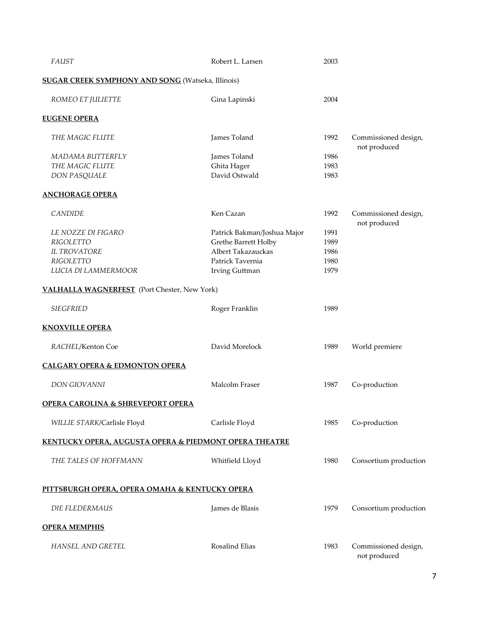| <b>FAUST</b>                                             | Robert L. Larsen            | 2003 |                                      |
|----------------------------------------------------------|-----------------------------|------|--------------------------------------|
| <b>SUGAR CREEK SYMPHONY AND SONG</b> (Watseka, Illinois) |                             |      |                                      |
| ROMEO ET JULIETTE                                        | Gina Lapinski               | 2004 |                                      |
| <b>EUGENE OPERA</b>                                      |                             |      |                                      |
| THE MAGIC FLUTE                                          | James Toland                | 1992 | Commissioned design,<br>not produced |
| MADAMA BUTTERFLY                                         | James Toland                | 1986 |                                      |
| THE MAGIC FLUTE                                          | Ghita Hager                 | 1983 |                                      |
| DON PASQUALE                                             | David Ostwald               | 1983 |                                      |
| <b>ANCHORAGE OPERA</b>                                   |                             |      |                                      |
| <b>CANDIDE</b>                                           | Ken Cazan                   | 1992 | Commissioned design,<br>not produced |
| LE NOZZE DI FIGARO                                       | Patrick Bakman/Joshua Major | 1991 |                                      |
| <b>RIGOLETTO</b>                                         | Grethe Barrett Holby        | 1989 |                                      |
| <b>IL TROVATORE</b>                                      | Albert Takazauckas          | 1986 |                                      |
| <b>RIGOLETTO</b>                                         | Patrick Tavernia            | 1980 |                                      |
| LUCIA DI LAMMERMOOR                                      | Irving Guttman              | 1979 |                                      |
| <b>VALHALLA WAGNERFEST</b> (Port Chester, New York)      |                             |      |                                      |
| <b>SIEGFRIED</b>                                         | Roger Franklin              | 1989 |                                      |
| <b>KNOXVILLE OPERA</b>                                   |                             |      |                                      |
| RACHEL/Kenton Coe                                        | David Morelock              | 1989 | World premiere                       |
| <b>CALGARY OPERA &amp; EDMONTON OPERA</b>                |                             |      |                                      |
| DON GIOVANNI                                             | Malcolm Fraser              | 1987 | Co-production                        |
| <b>OPERA CAROLINA &amp; SHREVEPORT OPERA</b>             |                             |      |                                      |
| WILLIE STARK/Carlisle Floyd                              | Carlisle Floyd              | 1985 | Co-production                        |
| KENTUCKY OPERA, AUGUSTA OPERA & PIEDMONT OPERA THEATRE   |                             |      |                                      |
| THE TALES OF HOFFMANN                                    | Whitfield Lloyd             | 1980 | Consortium production                |
| PITTSBURGH OPERA, OPERA OMAHA & KENTUCKY OPERA           |                             |      |                                      |
| DIE FLEDERMAUS                                           | James de Blasis             | 1979 | Consortium production                |
| <b>OPERA MEMPHIS</b>                                     |                             |      |                                      |
| HANSEL AND GRETEL                                        | Rosalind Elias              | 1983 | Commissioned design,<br>not produced |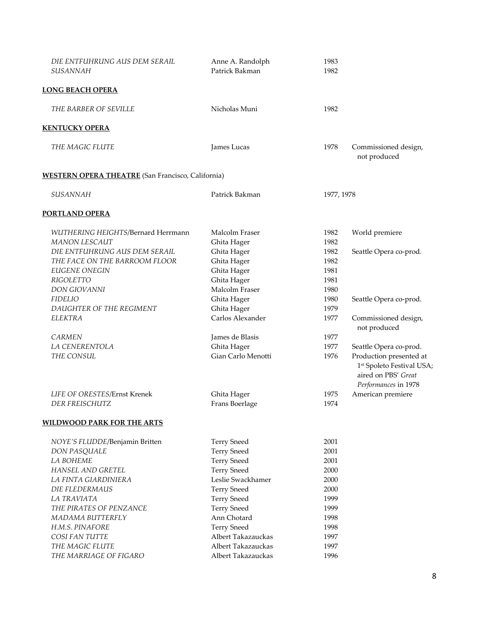| DIE ENTFUHRUNG AUS DEM SERAIL<br><b>SUSANNAH</b>               | Anne A. Randolph<br>Patrick Bakman           | 1983<br>1982         |                                                                                                                                           |
|----------------------------------------------------------------|----------------------------------------------|----------------------|-------------------------------------------------------------------------------------------------------------------------------------------|
| <u>LONG BEACH OPERA</u>                                        |                                              |                      |                                                                                                                                           |
| THE BARBER OF SEVILLE                                          | Nicholas Muni                                | 1982                 |                                                                                                                                           |
| <b>KENTUCKY OPERA</b>                                          |                                              |                      |                                                                                                                                           |
| THE MAGIC FLUTE                                                | James Lucas                                  | 1978                 | Commissioned design,<br>not produced                                                                                                      |
| <b>WESTERN OPERA THEATRE</b> (San Francisco, California)       |                                              |                      |                                                                                                                                           |
| <b>SUSANNAH</b>                                                | Patrick Bakman                               | 1977, 1978           |                                                                                                                                           |
| PORTLAND OPERA                                                 |                                              |                      |                                                                                                                                           |
| WUTHERING HEIGHTS/Bernard Herrmann<br><b>MANON LESCAUT</b>     | Malcolm Fraser<br>Ghita Hager                | 1982<br>1982         | World premiere                                                                                                                            |
| DIE ENTFUHRUNG AUS DEM SERAIL<br>THE FACE ON THE BARROOM FLOOR | Ghita Hager<br>Ghita Hager                   | 1982<br>1982         | Seattle Opera co-prod.                                                                                                                    |
| <b>EUGENE ONEGIN</b><br>RIGOLETTO<br>DON GIOVANNI              | Ghita Hager<br>Ghita Hager<br>Malcolm Fraser | 1981<br>1981<br>1980 |                                                                                                                                           |
| <b>FIDELIO</b><br>DAUGHTER OF THE REGIMENT                     | Ghita Hager<br>Ghita Hager                   | 1980<br>1979         | Seattle Opera co-prod.                                                                                                                    |
| <b>ELEKTRA</b>                                                 | Carlos Alexander                             | 1977                 | Commissioned design,<br>not produced                                                                                                      |
| <b>CARMEN</b>                                                  | James de Blasis                              | 1977                 |                                                                                                                                           |
| LA CENERENTOLA<br>THE CONSUL                                   | Ghita Hager<br>Gian Carlo Menotti            | 1977<br>1976         | Seattle Opera co-prod.<br>Production presented at<br>1 <sup>st</sup> Spoleto Festival USA;<br>aired on PBS' Great<br>Performances in 1978 |
| LIFE OF ORESTES/Ernst Krenek<br>DER FREISCHUTZ                 | Ghita Hager<br>Frans Boerlage                | 1975<br>1974         | American premiere                                                                                                                         |
| <b>WILDWOOD PARK FOR THE ARTS</b>                              |                                              |                      |                                                                                                                                           |
| NOYE'S FLUDDE/Benjamin Britten                                 | <b>Terry Sneed</b>                           | 2001                 |                                                                                                                                           |
| DON PASQUALE<br>LA BOHEME                                      | <b>Terry Sneed</b><br><b>Terry Sneed</b>     | 2001<br>2001         |                                                                                                                                           |
| HANSEL AND GRETEL                                              | <b>Terry Sneed</b>                           | 2000                 |                                                                                                                                           |
| LA FINTA GIARDINIERA                                           | Leslie Swackhamer                            | 2000                 |                                                                                                                                           |
| <b>DIE FLEDERMAUS</b>                                          | <b>Terry Sneed</b>                           | 2000                 |                                                                                                                                           |
| LA TRAVIATA                                                    | <b>Terry Sneed</b>                           | 1999                 |                                                                                                                                           |
| THE PIRATES OF PENZANCE                                        | <b>Terry Sneed</b>                           | 1999                 |                                                                                                                                           |
| MADAMA BUTTERFLY                                               | Ann Chotard                                  | 1998                 |                                                                                                                                           |
| H.M.S. PINAFORE                                                | <b>Terry Sneed</b>                           | 1998                 |                                                                                                                                           |
| COSI FAN TUTTE                                                 | Albert Takazauckas                           | 1997                 |                                                                                                                                           |
| THE MAGIC FLUTE                                                | Albert Takazauckas                           | 1997                 |                                                                                                                                           |
| THE MARRIAGE OF FIGARO                                         | Albert Takazauckas                           | 1996                 |                                                                                                                                           |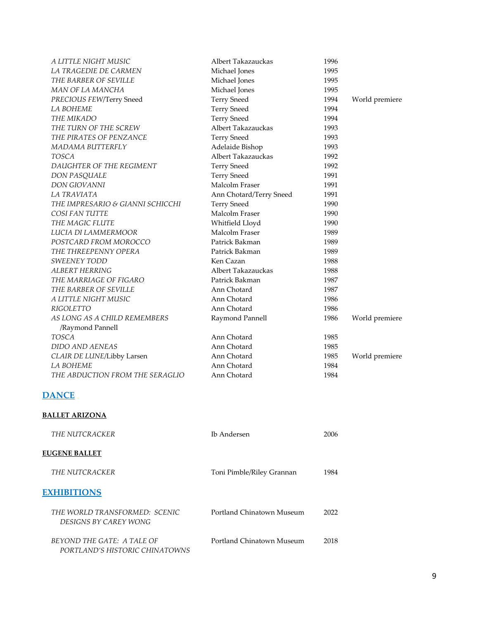| A LITTLE NIGHT MUSIC                             | Albert Takazauckas      | 1996 |                |
|--------------------------------------------------|-------------------------|------|----------------|
| LA TRAGEDIE DE CARMEN                            | Michael Jones           | 1995 |                |
| THE BARBER OF SEVILLE                            | Michael Jones           | 1995 |                |
| MAN OF LA MANCHA                                 | Michael Jones           | 1995 |                |
| PRECIOUS FEW/Terry Sneed                         | <b>Terry Sneed</b>      | 1994 | World premiere |
| <b>LA BOHEME</b>                                 | <b>Terry Sneed</b>      | 1994 |                |
| THE MIKADO                                       | <b>Terry Sneed</b>      | 1994 |                |
| THE TURN OF THE SCREW                            | Albert Takazauckas      | 1993 |                |
| THE PIRATES OF PENZANCE                          | <b>Terry Sneed</b>      | 1993 |                |
| MADAMA BUTTERFLY                                 | Adelaide Bishop         | 1993 |                |
| TOSCA                                            | Albert Takazauckas      | 1992 |                |
| DAUGHTER OF THE REGIMENT                         | <b>Terry Sneed</b>      | 1992 |                |
| DON PASQUALE                                     | <b>Terry Sneed</b>      | 1991 |                |
| <b>DON GIOVANNI</b>                              | Malcolm Fraser          | 1991 |                |
| LA TRAVIATA                                      | Ann Chotard/Terry Sneed | 1991 |                |
| THE IMPRESARIO & GIANNI SCHICCHI                 | <b>Terry Sneed</b>      | 1990 |                |
| COSI FAN TUTTE                                   | Malcolm Fraser          | 1990 |                |
| THE MAGIC FLUTE                                  | Whitfield Lloyd         | 1990 |                |
| LUCIA DI LAMMERMOOR                              | Malcolm Fraser          | 1989 |                |
| POSTCARD FROM MOROCCO                            | Patrick Bakman          | 1989 |                |
| THE THREEPENNY OPERA                             | Patrick Bakman          | 1989 |                |
| <b>SWEENEY TODD</b>                              | Ken Cazan               | 1988 |                |
| <b>ALBERT HERRING</b>                            | Albert Takazauckas      | 1988 |                |
| THE MARRIAGE OF FIGARO                           | Patrick Bakman          | 1987 |                |
| THE BARBER OF SEVILLE                            | Ann Chotard             | 1987 |                |
| A LITTLE NIGHT MUSIC                             | Ann Chotard             | 1986 |                |
| <b>RIGOLETTO</b>                                 | Ann Chotard             | 1986 |                |
| AS LONG AS A CHILD REMEMBERS<br>/Raymond Pannell | Raymond Pannell         | 1986 | World premiere |
| <b>TOSCA</b>                                     | Ann Chotard             | 1985 |                |
| <b>DIDO AND AENEAS</b>                           | Ann Chotard             | 1985 |                |
| CLAIR DE LUNE/Libby Larsen                       | Ann Chotard             | 1985 | World premiere |
| LA BOHEME                                        | Ann Chotard             | 1984 |                |
| THE ABDUCTION FROM THE SERAGLIO                  | Ann Chotard             | 1984 |                |
|                                                  |                         |      |                |

# **DANCE**

### **BALLET ARIZONA**

| THE NUTCRACKER                                               | Ib Andersen               | 2006 |
|--------------------------------------------------------------|---------------------------|------|
| <b>EUGENE BALLET</b>                                         |                           |      |
| THE NUTCRACKER                                               | Toni Pimble/Riley Grannan | 1984 |
| <b>EXHIBITIONS</b>                                           |                           |      |
| THE WORLD TRANSFORMED: SCENIC<br>DESIGNS BY CAREY WONG       | Portland Chinatown Museum | 2022 |
| BEYOND THE GATE: A TALE OF<br>PORTLAND'S HISTORIC CHINATOWNS | Portland Chinatown Museum | 2018 |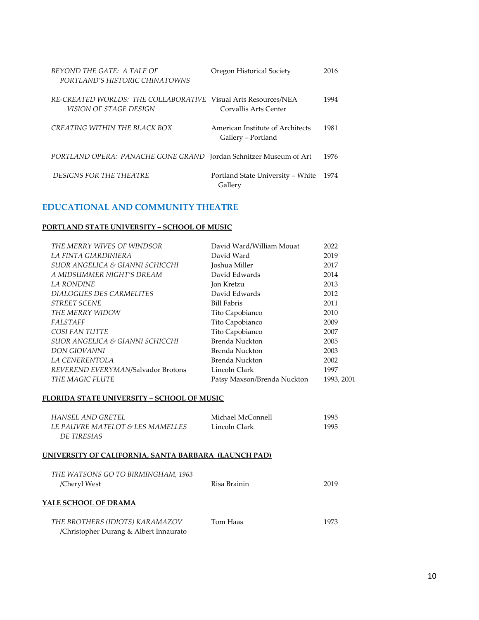| BEYOND THE GATE: A TALE OF<br>PORTLAND'S HISTORIC CHINATOWNS          | Oregon Historical Society                              | 2016 |
|-----------------------------------------------------------------------|--------------------------------------------------------|------|
| RE-CREATED WORLDS: THE COLLABORATIVE<br><i>VISION OF STAGE DESIGN</i> | Visual Arts Resources/NEA<br>Corvallis Arts Center     | 1994 |
| CREATING WITHIN THE BLACK BOX                                         | American Institute of Architects<br>Gallery – Portland | 1981 |
| PORTLAND OPERA: PANACHE GONE GRAND Jordan Schnitzer Museum of Art     |                                                        | 1976 |
| <i>DESIGNS FOR THE THEATRE</i>                                        | Portland State University – White<br>Gallery           | 1974 |

# **EDUCATIONAL AND COMMUNITY THEATRE**

#### **PORTLAND STATE UNIVERSITY – SCHOOL OF MUSIC**

| THE MERRY WIVES OF WINDSOR         | David Ward/William Mouat    | 2022       |
|------------------------------------|-----------------------------|------------|
| LA FINTA GIARDINIERA               | David Ward                  | 2019       |
| SUOR ANGELICA & GIANNI SCHICCHI    | <b>Joshua Miller</b>        | 2017       |
| A MIDSUMMER NIGHT'S DREAM          | David Edwards               | 2014       |
| <b>LA RONDINE</b>                  | Jon Kretzu                  | 2013       |
| DIALOGUES DES CARMELITES           | David Edwards               | 2012       |
| <b>STREET SCENE</b>                | <b>Bill Fabris</b>          | 2011       |
| THE MERRY WIDOW                    | Tito Capobianco             | 2010       |
| <b>FALSTAFF</b>                    | Tito Capobianco             | 2009       |
| COSI FAN TUTTE                     | Tito Capobianco             | 2007       |
| SUOR ANGELICA & GIANNI SCHICCHI    | Brenda Nuckton              | 2005       |
| <b>DON GIOVANNI</b>                | Brenda Nuckton              | 2003       |
| LA CENERENTOLA                     | Brenda Nuckton              | 2002       |
| REVEREND EVERYMAN/Salvador Brotons | Lincoln Clark               | 1997       |
| THE MAGIC FLUTE                    | Patsy Maxson/Brenda Nuckton | 1993, 2001 |

### **FLORIDA STATE UNIVERSITY – SCHOOL OF MUSIC**

| HANSEL AND GRETEL<br><i>LE PAUVRE MATELOT &amp; LES MAMELLES</i><br>DE TIRESIAS | Michael McConnell<br>Lincoln Clark | 1995<br>1995 |
|---------------------------------------------------------------------------------|------------------------------------|--------------|
| UNIVERSITY OF CALIFORNIA, SANTA BARBARA  (LAUNCH PAD)                           |                                    |              |
| THE WATSONS GO TO BIRMINGHAM, 1963<br>/Cheryl West                              | Risa Brainin                       | 2019         |
| YALE SCHOOL OF DRAMA                                                            |                                    |              |
| THE BROTHERS (IDIOTS) KARAMAZOV<br>/Christopher Durang & Albert Innaurato       | Tom Haas                           | 1973         |